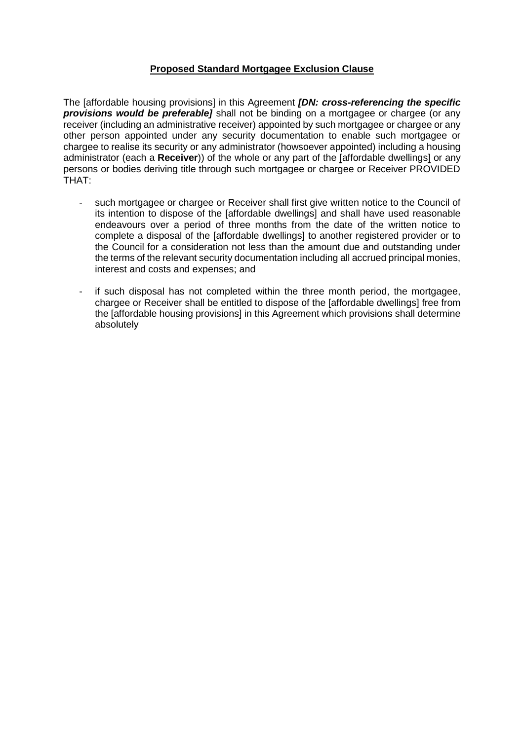#### **Proposed Standard Mortgagee Exclusion Clause**

 The [affordable housing provisions] in this Agreement *[DN: cross-referencing the specific*  **provisions would be preferable]** shall not be binding on a mortgagee or chargee (or any receiver (including an administrative receiver) appointed by such mortgagee or chargee or any other person appointed under any security documentation to enable such mortgagee or administrator (each a **Receiver**)) of the whole or any part of the [affordable dwellings] or any persons or bodies deriving title through such mortgagee or chargee or Receiver PROVIDED chargee to realise its security or any administrator (howsoever appointed) including a housing THAT:

- - such mortgagee or chargee or Receiver shall first give written notice to the Council of its intention to dispose of the [affordable dwellings] and shall have used reasonable endeavours over a period of three months from the date of the written notice to complete a disposal of the [affordable dwellings] to another registered provider or to the Council for a consideration not less than the amount due and outstanding under the terms of the relevant security documentation including all accrued principal monies, interest and costs and expenses; and
- - if such disposal has not completed within the three month period, the mortgagee, chargee or Receiver shall be entitled to dispose of the [affordable dwellings] free from the [affordable housing provisions] in this Agreement which provisions shall determine absolutely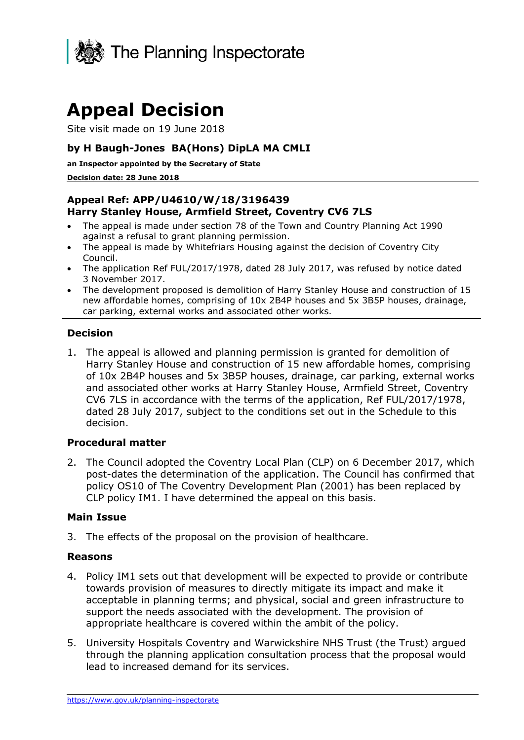

# **Appeal Decision**

Site visit made on 19 June 2018

## **by H Baugh-Jones BA(Hons) DipLA MA CMLI**

 **an Inspector appointed by the Secretary of State** 

#### **Decision date: 28 June 2018**

## **Harry Stanley House, Armfield Street, Coventry CV6 7LS Appeal Ref: APP/U4610/W/18/3196439**

- The appeal is made under section 78 of the Town and Country Planning Act 1990 against a refusal to grant planning permission.
- The appeal is made by Whitefriars Housing against the decision of Coventry City Council.
- The application Ref FUL/2017/1978, dated 28 July 2017, was refused by notice dated 3 November 2017.
- The development proposed is demolition of Harry Stanley House and construction of 15 new affordable homes, comprising of 10x 2B4P houses and 5x 3B5P houses, drainage, car parking, external works and associated other works.

#### **Decision**

 1. The appeal is allowed and planning permission is granted for demolition of Harry Stanley House and construction of 15 new affordable homes, comprising of 10x 2B4P houses and 5x 3B5P houses, drainage, car parking, external works and associated other works at Harry Stanley House, Armfield Street, Coventry dated 28 July 2017, subject to the conditions set out in the Schedule to this CV6 7LS in accordance with the terms of the application, Ref FUL/2017/1978, decision.

#### **Procedural matter**

 2. The Council adopted the Coventry Local Plan (CLP) on 6 December 2017, which policy OS10 of The Coventry Development Plan (2001) has been replaced by CLP policy IM1. I have determined the appeal on this basis. post-dates the determination of the application. The Council has confirmed that

#### **Main Issue**

3. The effects of the proposal on the provision of healthcare.

#### **Reasons**

- 4. Policy IM1 sets out that development will be expected to provide or contribute acceptable in planning terms; and physical, social and green infrastructure to support the needs associated with the development. The provision of towards provision of measures to directly mitigate its impact and make it appropriate healthcare is covered within the ambit of the policy.
- 5. University Hospitals Coventry and Warwickshire NHS Trust (the Trust) argued through the planning application consultation process that the proposal would lead to increased demand for its services.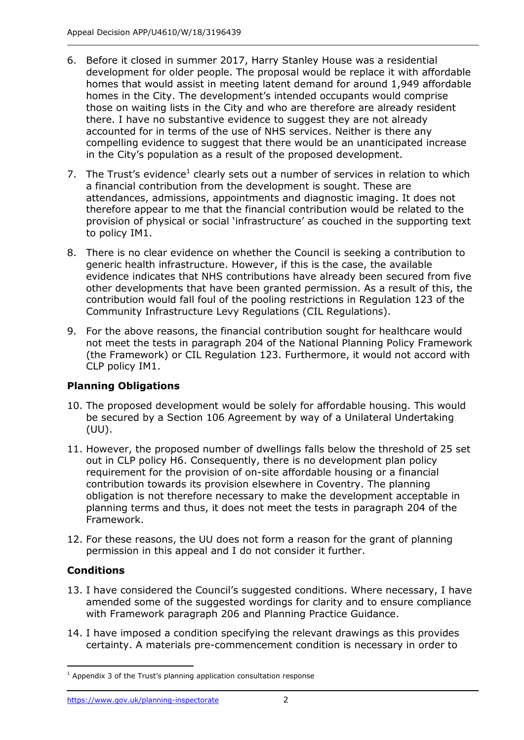- 6. Before it closed in summer 2017, Harry Stanley House was a residential development for older people. The proposal would be replace it with affordable homes that would assist in meeting latent demand for around 1,949 affordable those on waiting lists in the City and who are therefore are already resident there. I have no substantive evidence to suggest they are not already compelling evidence to suggest that there would be an unanticipated increase in the City's population as a result of the proposed development. homes in the City. The development's intended occupants would comprise accounted for in terms of the use of NHS services. Neither is there any
- 7. The Trust's evidence<sup>1</sup> clearly sets out a number of services in relation to which a financial contribution from the development is sought. These are to policy IM1. attendances, admissions, appointments and diagnostic imaging. It does not therefore appear to me that the financial contribution would be related to the provision of physical or social 'infrastructure' as couched in the supporting text
- 8. There is no clear evidence on whether the Council is seeking a contribution to generic health infrastructure. However, if this is the case, the available other developments that have been granted permission. As a result of this, the contribution would fall foul of the pooling restrictions in Regulation 123 of the evidence indicates that NHS contributions have already been secured from five Community Infrastructure Levy Regulations (CIL Regulations).
- not meet the tests in paragraph 204 of the National Planning Policy Framework (the Framework) or CIL Regulation 123. Furthermore, it would not accord with CLP policy IM1. 9. For the above reasons, the financial contribution sought for healthcare would

## **Planning Obligations**

- 10. The proposed development would be solely for affordable housing. This would be secured by a Section 106 Agreement by way of a Unilateral Undertaking (UU).
- 11. However, the proposed number of dwellings falls below the threshold of 25 set out in CLP policy H6. Consequently, there is no development plan policy requirement for the provision of on-site affordable housing or a financial planning terms and thus, it does not meet the tests in paragraph 204 of the Framework. contribution towards its provision elsewhere in Coventry. The planning obligation is not therefore necessary to make the development acceptable in
- Framework. 12. For these reasons, the UU does not form a reason for the grant of planning permission in this appeal and I do not consider it further.

# **Conditions**

- amended some of the suggested wordings for clarity and to ensure compliance with Framework paragraph 206 and Planning Practice Guidance. 13. I have considered the Council's suggested conditions. Where necessary, I have
- 14. I have imposed a condition specifying the relevant drawings as this provides certainty. A materials pre-commencement condition is necessary in order to

<sup>-</sup> $1$  Appendix 3 of the Trust's planning application consultation response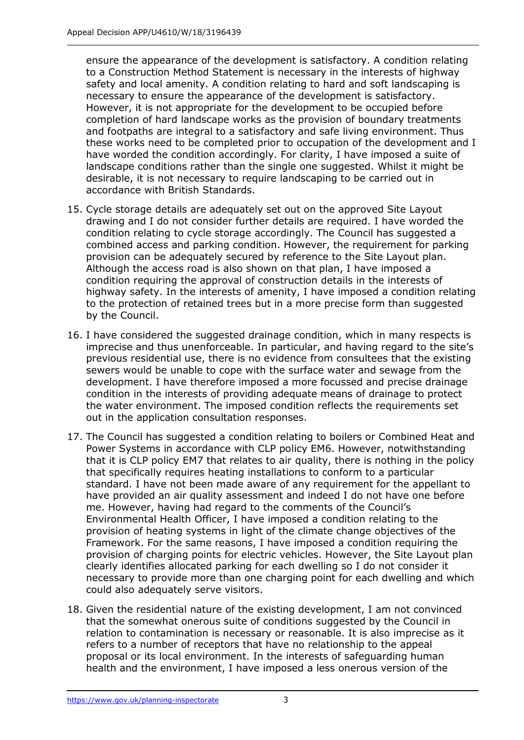safety and local amenity. A condition relating to hard and soft landscaping is However, it is not appropriate for the development to be occupied before and footpaths are integral to a satisfactory and safe living environment. Thus these works need to be completed prior to occupation of the development and I have worded the condition accordingly. For clarity, I have imposed a suite of desirable, it is not necessary to require landscaping to be carried out in ensure the appearance of the development is satisfactory. A condition relating to a Construction Method Statement is necessary in the interests of highway necessary to ensure the appearance of the development is satisfactory. completion of hard landscape works as the provision of boundary treatments landscape conditions rather than the single one suggested. Whilst it might be accordance with British Standards.

- drawing and I do not consider further details are required. I have worded the combined access and parking condition. However, the requirement for parking provision can be adequately secured by reference to the Site Layout plan. Although the access road is also shown on that plan, I have imposed a condition requiring the approval of construction details in the interests of highway safety. In the interests of amenity, I have imposed a condition relating to the protection of retained trees but in a more precise form than suggested 15. Cycle storage details are adequately set out on the approved Site Layout condition relating to cycle storage accordingly. The Council has suggested a by the Council.
- 16. I have considered the suggested drainage condition, which in many respects is imprecise and thus unenforceable. In particular, and having regard to the site's sewers would be unable to cope with the surface water and sewage from the development. I have therefore imposed a more focussed and precise drainage out in the application consultation responses. previous residential use, there is no evidence from consultees that the existing condition in the interests of providing adequate means of drainage to protect the water environment. The imposed condition reflects the requirements set
- 17. The Council has suggested a condition relating to boilers or Combined Heat and Power Systems in accordance with CLP policy EM6. However, notwithstanding that it is CLP policy EM7 that relates to air quality, there is nothing in the policy that specifically requires heating installations to conform to a particular standard. I have not been made aware of any requirement for the appellant to have provided an air quality assessment and indeed I do not have one before me. However, having had regard to the comments of the Council's Environmental Health Officer, I have imposed a condition relating to the Framework. For the same reasons, I have imposed a condition requiring the clearly identifies allocated parking for each dwelling so I do not consider it necessary to provide more than one charging point for each dwelling and which could also adequately serve visitors. provision of heating systems in light of the climate change objectives of the provision of charging points for electric vehicles. However, the Site Layout plan
- 18. Given the residential nature of the existing development, I am not convinced health and the environment, I have imposed a less onerous version of the that the somewhat onerous suite of conditions suggested by the Council in relation to contamination is necessary or reasonable. It is also imprecise as it refers to a number of receptors that have no relationship to the appeal proposal or its local environment. In the interests of safeguarding human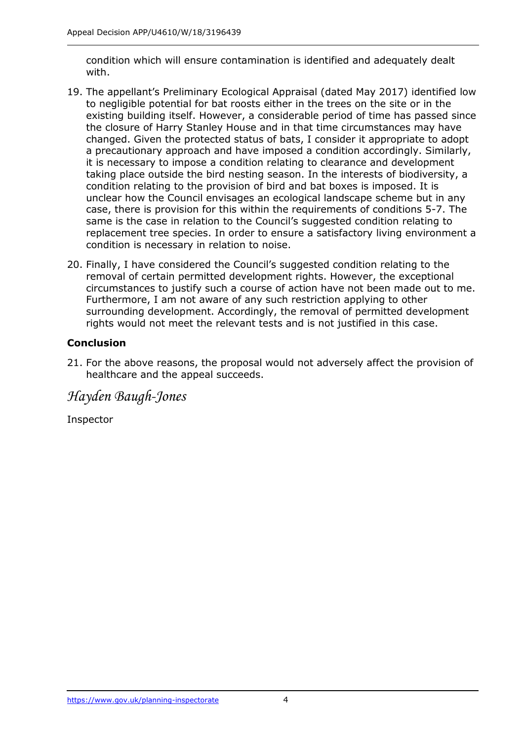condition which will ensure contamination is identified and adequately dealt with.

- with. 19. The appellant's Preliminary Ecological Appraisal (dated May 2017) identified low existing building itself. However, a considerable period of time has passed since the closure of Harry Stanley House and in that time circumstances may have a precautionary approach and have imposed a condition accordingly. Similarly, it is necessary to impose a condition relating to clearance and development taking place outside the bird nesting season. In the interests of biodiversity, a condition relating to the provision of bird and bat boxes is imposed. It is unclear how the Council envisages an ecological landscape scheme but in any replacement tree species. In order to ensure a satisfactory living environment a condition is necessary in relation to noise. to negligible potential for bat roosts either in the trees on the site or in the changed. Given the protected status of bats, I consider it appropriate to adopt case, there is provision for this within the requirements of conditions 5-7. The same is the case in relation to the Council's suggested condition relating to
- removal of certain permitted development rights. However, the exceptional circumstances to justify such a course of action have not been made out to me. Furthermore, I am not aware of any such restriction applying to other rights would not meet the relevant tests and is not justified in this case. 20. Finally, I have considered the Council's suggested condition relating to the surrounding development. Accordingly, the removal of permitted development

## **Conclusion**

 21. For the above reasons, the proposal would not adversely affect the provision of healthcare and the appeal succeeds.

*Hayden Baugh-Jones* 

Inspector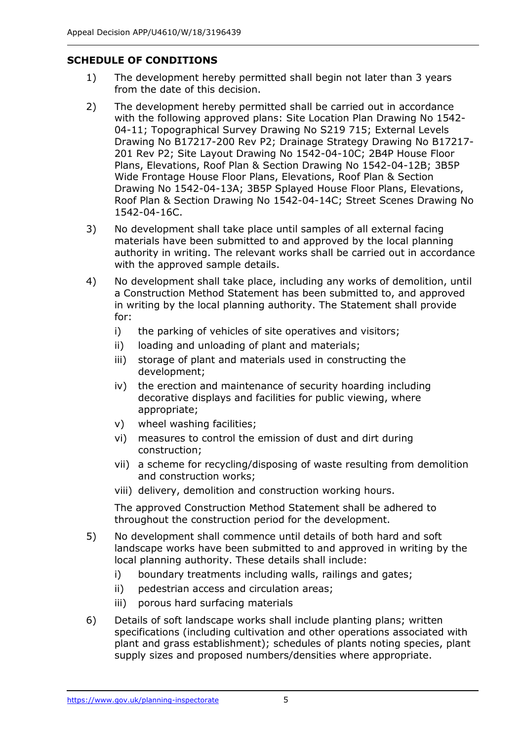## **SCHEDULE OF CONDITIONS**

- 1) The development hereby permitted shall begin not later than 3 years from the date of this decision.
- 2) The development hereby permitted shall be carried out in accordance 04-11; Topographical Survey Drawing No S219 715; External Levels Drawing No B17217-200 Rev P2; Drainage Strategy Drawing No B17217- 201 Rev P2; Site Layout Drawing No 1542-04-10C; 2B4P House Floor Plans, Elevations, Roof Plan & Section Drawing No 1542-04-12B; 3B5P Wide Frontage House Floor Plans, Elevations, Roof Plan & Section Drawing No 1542-04-13A; 3B5P Splayed House Floor Plans, Elevations, Roof Plan & Section Drawing No 1542-04-14C; Street Scenes Drawing No with the following approved plans: Site Location Plan Drawing No 1542- 1542-04-16C.
- 3) No development shall take place until samples of all external facing materials have been submitted to and approved by the local planning authority in writing. The relevant works shall be carried out in accordance with the approved sample details.
- 4) No development shall take place, including any works of demolition, until a Construction Method Statement has been submitted to, and approved in writing by the local planning authority. The Statement shall provide for:
	- i) the parking of vehicles of site operatives and visitors;
	- ii) loading and unloading of plant and materials;
	- iii) storage of plant and materials used in constructing the development;
	- iv) the erection and maintenance of security hoarding including decorative displays and facilities for public viewing, where appropriate;
	- v) wheel washing facilities;
	- vi) measures to control the emission of dust and dirt during construction;
	- vii) a scheme for recycling/disposing of waste resulting from demolition and construction works;
	- viii) delivery, demolition and construction working hours.

 The approved Construction Method Statement shall be adhered to throughout the construction period for the development.

- 5) No development shall commence until details of both hard and soft landscape works have been submitted to and approved in writing by the local planning authority. These details shall include:
	- i) boundary treatments including walls, railings and gates;
	- ii) pedestrian access and circulation areas;
	- iii) porous hard surfacing materials
- plant and grass establishment); schedules of plants noting species, plant supply sizes and proposed numbers/densities where appropriate. 6) Details of soft landscape works shall include planting plans; written specifications (including cultivation and other operations associated with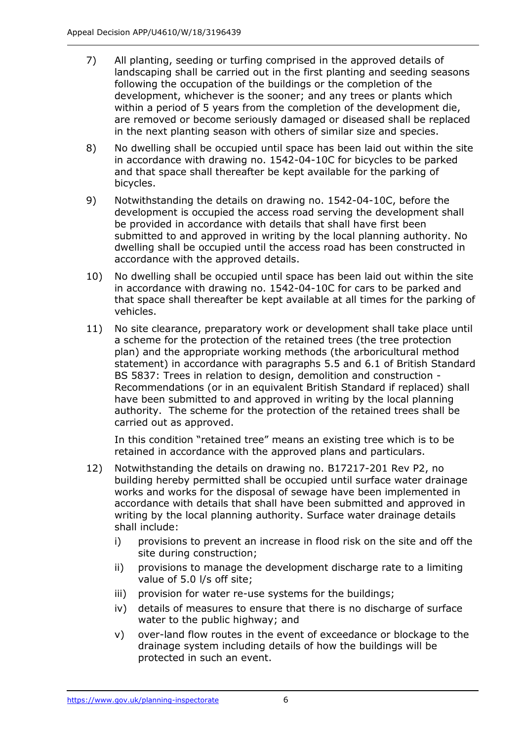- 7) All planting, seeding or turfing comprised in the approved details of landscaping shall be carried out in the first planting and seeding seasons development, whichever is the sooner; and any trees or plants which within a period of 5 years from the completion of the development die, are removed or become seriously damaged or diseased shall be replaced in the next planting season with others of similar size and species. following the occupation of the buildings or the completion of the
- 8) No dwelling shall be occupied until space has been laid out within the site in accordance with drawing no. 1542-04-10C for bicycles to be parked and that space shall thereafter be kept available for the parking of bicycles.
- 9) Notwithstanding the details on drawing no. 1542-04-10C, before the development is occupied the access road serving the development shall be provided in accordance with details that shall have first been submitted to and approved in writing by the local planning authority. No dwelling shall be occupied until the access road has been constructed in accordance with the approved details.
- 10) No dwelling shall be occupied until space has been laid out within the site in accordance with drawing no. 1542-04-10C for cars to be parked and that space shall thereafter be kept available at all times for the parking of vehicles.
- 11) No site clearance, preparatory work or development shall take place until statement) in accordance with paragraphs 5.5 and 6.1 of British Standard Recommendations (or in an equivalent British Standard if replaced) shall have been submitted to and approved in writing by the local planning authority. The scheme for the protection of the retained trees shall be a scheme for the protection of the retained trees (the tree protection plan) and the appropriate working methods (the arboricultural method BS 5837: Trees in relation to design, demolition and construction carried out as approved.

 In this condition "retained tree" means an existing tree which is to be retained in accordance with the approved plans and particulars.

- 12) Notwithstanding the details on drawing no. B17217-201 Rev P2, no building hereby permitted shall be occupied until surface water drainage works and works for the disposal of sewage have been implemented in accordance with details that shall have been submitted and approved in writing by the local planning authority. Surface water drainage details shall include:
	- i) provisions to prevent an increase in flood risk on the site and off the site during construction;
	- ii) provisions to manage the development discharge rate to a limiting value of 5.0 l/s off site;
	- iii) provision for water re-use systems for the buildings;
	- water to the public highway; and iv) details of measures to ensure that there is no discharge of surface
	- v) over-land flow routes in the event of exceedance or blockage to the drainage system including details of how the buildings will be protected in such an event.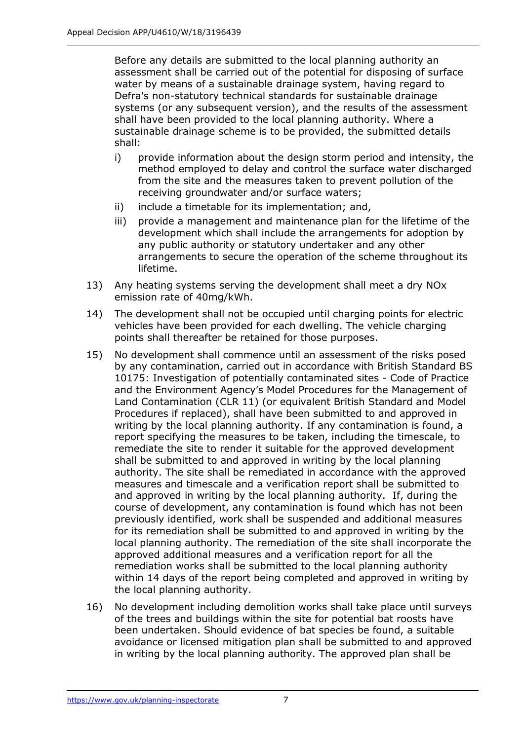Before any details are submitted to the local planning authority an assessment shall be carried out of the potential for disposing of surface water by means of a sustainable drainage system, having regard to Defra's non-statutory technical standards for sustainable drainage systems (or any subsequent version), and the results of the assessment shall have been provided to the local planning authority. Where a sustainable drainage scheme is to be provided, the submitted details shall:

- i) provide information about the design storm period and intensity, the method employed to delay and control the surface water discharged receiving groundwater and/or surface waters; from the site and the measures taken to prevent pollution of the
- ii) include a timetable for its implementation; and,
- iii) provide a management and maintenance plan for the lifetime of the any public authority or statutory undertaker and any other development which shall include the arrangements for adoption by arrangements to secure the operation of the scheme throughout its lifetime.
- 13) Any heating systems serving the development shall meet a dry NOx emission rate of 40mg/kWh.
- 14) The development shall not be occupied until charging points for electric vehicles have been provided for each dwelling. The vehicle charging points shall thereafter be retained for those purposes.
- 15) No development shall commence until an assessment of the risks posed by any contamination, carried out in accordance with British Standard BS 10175: Investigation of potentially contaminated sites - Code of Practice and the Environment Agency's Model Procedures for the Management of Land Contamination (CLR 11) (or equivalent British Standard and Model Procedures if replaced), shall have been submitted to and approved in writing by the local planning authority. If any contamination is found, a report specifying the measures to be taken, including the timescale, to shall be submitted to and approved in writing by the local planning measures and timescale and a verification report shall be submitted to and approved in writing by the local planning authority. If, during the course of development, any contamination is found which has not been previously identified, work shall be suspended and additional measures for its remediation shall be submitted to and approved in writing by the local planning authority. The remediation of the site shall incorporate the approved additional measures and a verification report for all the remediation works shall be submitted to the local planning authority within 14 days of the report being completed and approved in writing by the local planning authority. remediate the site to render it suitable for the approved development authority. The site shall be remediated in accordance with the approved
- 16) No development including demolition works shall take place until surveys of the trees and buildings within the site for potential bat roosts have been undertaken. Should evidence of bat species be found, a suitable in writing by the local planning authority. The approved plan shall be avoidance or licensed mitigation plan shall be submitted to and approved